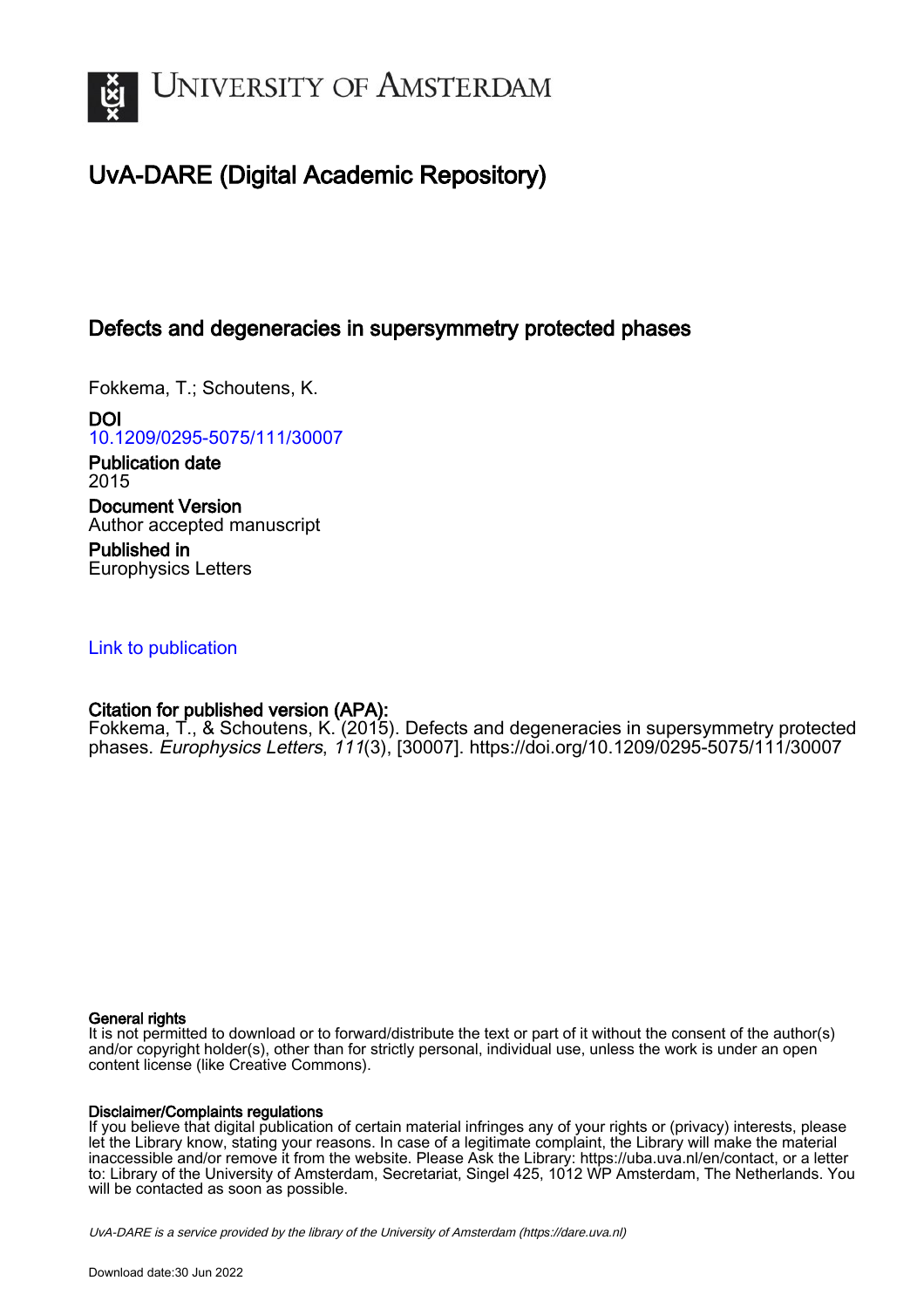

# UvA-DARE (Digital Academic Repository)

## Defects and degeneracies in supersymmetry protected phases

Fokkema, T.; Schoutens, K.

DOI [10.1209/0295-5075/111/30007](https://doi.org/10.1209/0295-5075/111/30007)

Publication date 2015 Document Version Author accepted manuscript

Published in Europhysics Letters

## [Link to publication](https://dare.uva.nl/personal/pure/en/publications/defects-and-degeneracies-in-supersymmetry-protected-phases(18a6094a-c807-43c1-8906-96ff9cb17160).html)

## Citation for published version (APA):

Fokkema, T., & Schoutens, K. (2015). Defects and degeneracies in supersymmetry protected phases. Europhysics Letters, 111(3), [30007].<https://doi.org/10.1209/0295-5075/111/30007>

### General rights

It is not permitted to download or to forward/distribute the text or part of it without the consent of the author(s) and/or copyright holder(s), other than for strictly personal, individual use, unless the work is under an open content license (like Creative Commons).

### Disclaimer/Complaints regulations

If you believe that digital publication of certain material infringes any of your rights or (privacy) interests, please let the Library know, stating your reasons. In case of a legitimate complaint, the Library will make the material inaccessible and/or remove it from the website. Please Ask the Library: https://uba.uva.nl/en/contact, or a letter to: Library of the University of Amsterdam, Secretariat, Singel 425, 1012 WP Amsterdam, The Netherlands. You will be contacted as soon as possible.

UvA-DARE is a service provided by the library of the University of Amsterdam (http*s*://dare.uva.nl)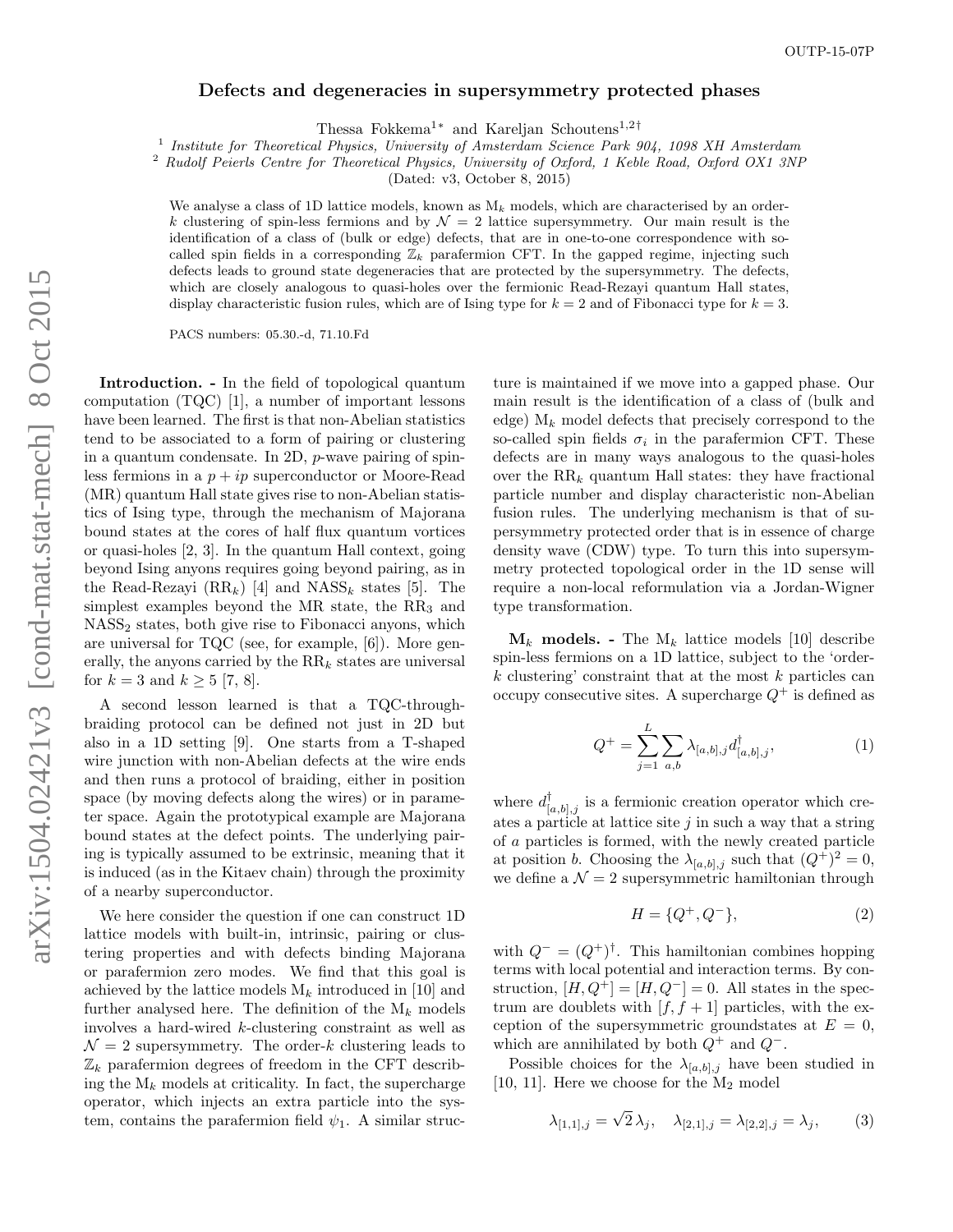#### Defects and degeneracies in supersymmetry protected phases

Thessa Fokkema<sup>1[∗](#page-5-0)</sup> and Kareljan Schoutens<sup>1,2[†](#page-5-1)</sup>

<sup>1</sup> Institute for Theoretical Physics, University of Amsterdam Science Park 904, 1098 XH Amsterdam

<sup>2</sup> Rudolf Peierls Centre for Theoretical Physics, University of Oxford, 1 Keble Road, Oxford OX1 3NP

(Dated: v3, October 8, 2015)

We analyse a class of 1D lattice models, known as  $M_k$  models, which are characterised by an orderk clustering of spin-less fermions and by  $\mathcal{N} = 2$  lattice supersymmetry. Our main result is the identification of a class of (bulk or edge) defects, that are in one-to-one correspondence with socalled spin fields in a corresponding  $\mathbb{Z}_k$  parafermion CFT. In the gapped regime, injecting such defects leads to ground state degeneracies that are protected by the supersymmetry. The defects, which are closely analogous to quasi-holes over the fermionic Read-Rezayi quantum Hall states, display characteristic fusion rules, which are of Ising type for  $k = 2$  and of Fibonacci type for  $k = 3$ .

PACS numbers: 05.30.-d, 71.10.Fd

Introduction. - In the field of topological quantum computation (TQC) [\[1\]](#page-5-2), a number of important lessons have been learned. The first is that non-Abelian statistics tend to be associated to a form of pairing or clustering in a quantum condensate. In 2D, p-wave pairing of spinless fermions in a  $p + ip$  superconductor or Moore-Read (MR) quantum Hall state gives rise to non-Abelian statistics of Ising type, through the mechanism of Majorana bound states at the cores of half flux quantum vortices or quasi-holes [\[2,](#page-5-3) [3\]](#page-5-4). In the quantum Hall context, going beyond Ising anyons requires going beyond pairing, as in the Read-Rezayi  $(RR_k)$  [\[4\]](#page-5-5) and  $NASS_k$  states [\[5\]](#page-5-6). The simplest examples beyond the MR state, the RR<sub>3</sub> and NASS<sup>2</sup> states, both give rise to Fibonacci anyons, which are universal for TQC (see, for example, [\[6\]](#page-5-7)). More generally, the anyons carried by the  $RR_k$  states are universal for  $k = 3$  and  $k \ge 5$  [\[7,](#page-5-8) [8\]](#page-5-9).

A second lesson learned is that a TQC-throughbraiding protocol can be defined not just in 2D but also in a 1D setting [\[9\]](#page-5-10). One starts from a T-shaped wire junction with non-Abelian defects at the wire ends and then runs a protocol of braiding, either in position space (by moving defects along the wires) or in parameter space. Again the prototypical example are Majorana bound states at the defect points. The underlying pairing is typically assumed to be extrinsic, meaning that it is induced (as in the Kitaev chain) through the proximity of a nearby superconductor.

We here consider the question if one can construct 1D lattice models with built-in, intrinsic, pairing or clustering properties and with defects binding Majorana or parafermion zero modes. We find that this goal is achieved by the lattice models  $M_k$  introduced in [\[10\]](#page-5-11) and further analysed here. The definition of the  $M_k$  models involves a hard-wired k-clustering constraint as well as  $\mathcal{N}=2$  supersymmetry. The order-k clustering leads to  $\mathbb{Z}_k$  parafermion degrees of freedom in the CFT describing the  $M_k$  models at criticality. In fact, the supercharge operator, which injects an extra particle into the system, contains the parafermion field  $\psi_1$ . A similar struc-

ture is maintained if we move into a gapped phase. Our main result is the identification of a class of (bulk and edge)  $M_k$  model defects that precisely correspond to the so-called spin fields  $\sigma_i$  in the parafermion CFT. These defects are in many ways analogous to the quasi-holes over the  $RR_k$  quantum Hall states: they have fractional particle number and display characteristic non-Abelian fusion rules. The underlying mechanism is that of supersymmetry protected order that is in essence of charge density wave (CDW) type. To turn this into supersymmetry protected topological order in the 1D sense will require a non-local reformulation via a Jordan-Wigner type transformation.

 $\mathbf{M}_k$  models. - The  $M_k$  lattice models [\[10\]](#page-5-11) describe spin-less fermions on a 1D lattice, subject to the 'order $k$  clustering' constraint that at the most  $k$  particles can occupy consecutive sites. A supercharge  $Q^+$  is defined as

<span id="page-1-0"></span>
$$
Q^{+} = \sum_{j=1}^{L} \sum_{a,b} \lambda_{[a,b],j} d_{[a,b],j}^{\dagger}, \qquad (1)
$$

where  $d_{[a,b],j}^{\dagger}$  is a fermionic creation operator which creates a particle at lattice site  $j$  in such a way that a string of a particles is formed, with the newly created particle at position *b*. Choosing the  $\lambda_{[a,b],j}$  such that  $(Q^+)^2 = 0$ , we define a  $\mathcal{N} = 2$  supersymmetric hamiltonian through

$$
H = \{Q^+, Q^-\},\tag{2}
$$

with  $Q^- = (Q^+)^{\dagger}$ . This hamiltonian combines hopping terms with local potential and interaction terms. By construction,  $[H, Q^+] = [H, Q^-] = 0$ . All states in the spectrum are doublets with  $[f, f + 1]$  particles, with the exception of the supersymmetric groundstates at  $E = 0$ , which are annihilated by both  $Q^+$  and  $Q^-$ .

Possible choices for the  $\lambda_{[a,b],j}$  have been studied in [\[10,](#page-5-11) [11\]](#page-5-12). Here we choose for the  $M_2$  model

$$
\lambda_{[1,1],j} = \sqrt{2} \,\lambda_j, \quad \lambda_{[2,1],j} = \lambda_{[2,2],j} = \lambda_j,\tag{3}
$$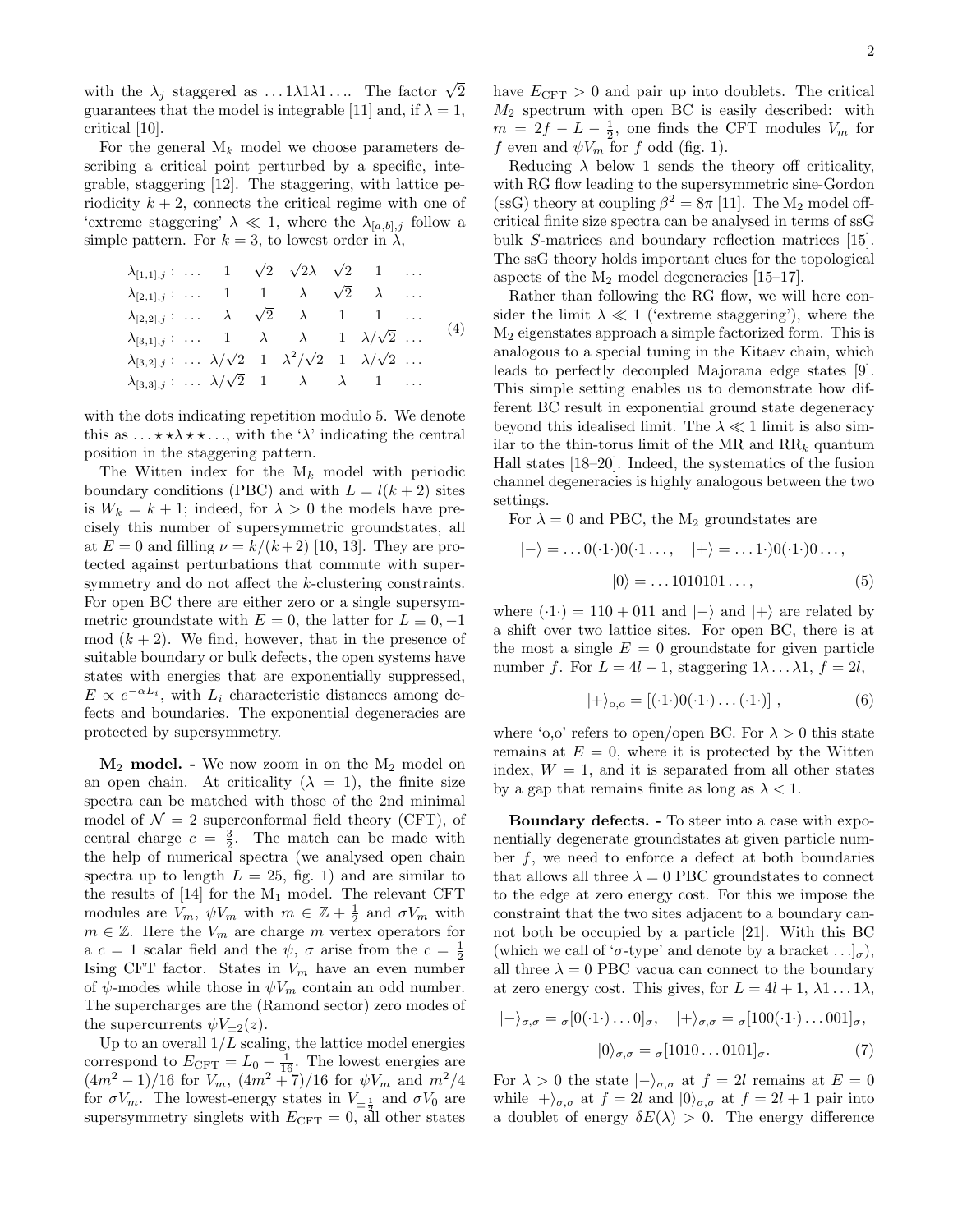with the  $\lambda_j$  staggered as ... 1 $\lambda$ 1 $\lambda$ 1.... The factor  $\sqrt{2}$ guarantees that the model is integrable [\[11\]](#page-5-12) and, if  $\lambda = 1$ , critical [\[10\]](#page-5-11).

For the general  $M_k$  model we choose parameters describing a critical point perturbed by a specific, integrable, staggering [\[12\]](#page-6-0). The staggering, with lattice periodicity  $k + 2$ , connects the critical regime with one of 'extreme staggering'  $\lambda \ll 1$ , where the  $\lambda_{[a,b],j}$  follow a simple pattern. For  $k = 3$ , to lowest order in  $\lambda$ ,

<span id="page-2-2"></span>
$$
\lambda_{[1,1],j} : \dots \quad 1 \quad \sqrt{2} \quad \sqrt{2}\lambda \quad \sqrt{2} \quad 1 \quad \dots \n\lambda_{[2,1],j} : \dots \quad 1 \quad 1 \quad \lambda \quad \sqrt{2} \quad \lambda \quad \dots \n\lambda_{[2,2],j} : \dots \quad \lambda \quad \sqrt{2} \quad \lambda \quad 1 \quad 1 \quad \dots \n\lambda_{[3,1],j} : \dots \quad 1 \quad \lambda \quad \lambda \quad 1 \quad \lambda/\sqrt{2} \quad \dots \n\lambda_{[3,2],j} : \dots \lambda/\sqrt{2} \quad 1 \quad \lambda^2/\sqrt{2} \quad 1 \quad \lambda/\sqrt{2} \quad \dots \n\lambda_{[3,3],j} : \dots \lambda/\sqrt{2} \quad 1 \quad \lambda \quad \lambda \quad 1 \quad \dots
$$

with the dots indicating repetition modulo 5. We denote this as  $\dots \star \star \lambda \star \star \dots$ , with the ' $\lambda$ ' indicating the central position in the staggering pattern.

The Witten index for the  $M_k$  model with periodic boundary conditions (PBC) and with  $L = l(k + 2)$  sites is  $W_k = k + 1$ ; indeed, for  $\lambda > 0$  the models have precisely this number of supersymmetric groundstates, all at  $E = 0$  and filling  $\nu = k/(k+2)$  [\[10,](#page-5-11) [13\]](#page-6-1). They are protected against perturbations that commute with supersymmetry and do not affect the k-clustering constraints. For open BC there are either zero or a single supersymmetric groundstate with  $E = 0$ , the latter for  $L \equiv 0, -1$ mod  $(k + 2)$ . We find, however, that in the presence of suitable boundary or bulk defects, the open systems have states with energies that are exponentially suppressed,  $E \propto e^{-\alpha L_i}$ , with  $L_i$  characteristic distances among defects and boundaries. The exponential degeneracies are protected by supersymmetry.

 $M_2$  model. - We now zoom in on the  $M_2$  model on an open chain. At criticality  $(\lambda = 1)$ , the finite size spectra can be matched with those of the 2nd minimal model of  $\mathcal{N}=2$  superconformal field theory (CFT), of central charge  $c = \frac{3}{2}$ . The match can be made with the help of numerical spectra (we analysed open chain spectra up to length  $L = 25$ , fig. [1\)](#page-3-0) and are similar to the results of  $[14]$  for the  $M_1$  model. The relevant CFT modules are  $V_m$ ,  $\psi V_m$  with  $m \in \mathbb{Z} + \frac{1}{2}$  and  $\sigma V_m$  with  $m \in \mathbb{Z}$ . Here the  $V_m$  are charge m vertex operators for a  $c = 1$  scalar field and the  $\psi$ ,  $\sigma$  arise from the  $c = \frac{1}{2}$ Ising CFT factor. States in  $V_m$  have an even number of  $\psi$ -modes while those in  $\psi V_m$  contain an odd number. The supercharges are the (Ramond sector) zero modes of the supercurrents  $\psi V_{+2}(z)$ .

Up to an overall  $1/L$  scaling, the lattice model energies correspond to  $E_{\text{CFT}} = L_0 - \frac{1}{16}$ . The lowest energies are  $(4m^2-1)/16$  for  $V_m$ ,  $(4m^2+7)/16$  for  $\psi V_m$  and  $m^2/4$ for  $\sigma V_m$ . The lowest-energy states in  $V_{\pm \frac{1}{2}}$  and  $\sigma V_0$  are supersymmetry singlets with  $E_{\text{CFT}} = 0$ , all other states have  $E_{\text{CFT}} > 0$  and pair up into doublets. The critical  $M_2$  spectrum with open BC is easily described: with  $m = 2f - L - \frac{1}{2}$ , one finds the CFT modules  $V_m$  for f even and  $\psi V_m$  for f odd (fig. [1\)](#page-3-0).

Reducing  $\lambda$  below 1 sends the theory off criticality, with RG flow leading to the supersymmetric sine-Gordon (ssG) theory at coupling  $\beta^2 = 8\pi$  [\[11\]](#page-5-12). The M<sub>2</sub> model offcritical finite size spectra can be analysed in terms of ssG bulk S-matrices and boundary reflection matrices [\[15\]](#page-6-3). The ssG theory holds important clues for the topological aspects of the  $M_2$  model degeneracies [\[15–](#page-6-3)[17\]](#page-6-4).

Rather than following the RG flow, we will here consider the limit  $\lambda \ll 1$  ('extreme staggering'), where the M<sup>2</sup> eigenstates approach a simple factorized form. This is analogous to a special tuning in the Kitaev chain, which leads to perfectly decoupled Majorana edge states [\[9\]](#page-5-10). This simple setting enables us to demonstrate how different BC result in exponential ground state degeneracy beyond this idealised limit. The  $\lambda \ll 1$  limit is also similar to the thin-torus limit of the MR and  $\text{RR}_k$  quantum Hall states [\[18–](#page-6-5)[20\]](#page-6-6). Indeed, the systematics of the fusion channel degeneracies is highly analogous between the two settings.

For  $\lambda = 0$  and PBC, the M<sub>2</sub> groundstates are

$$
|-\rangle = \dots 0(\cdot 1 \cdot) 0(\cdot 1 \dots, |+\rangle = \dots 1 \cdot) 0(\cdot 1 \cdot) 0 \dots,
$$
  

$$
|0\rangle = \dots 1010101 \dots,
$$
 (5)

where  $(·1·) = 110 + 011$  and  $|-\rangle$  and  $|+\rangle$  are related by a shift over two lattice sites. For open BC, there is at the most a single  $E = 0$  groundstate for given particle number f. For  $L = 4l - 1$ , staggering  $1\lambda \dots \lambda 1$ ,  $f = 2l$ ,

<span id="page-2-0"></span>
$$
|+\rangle_{0,0} = [(\cdot 1 \cdot) 0(\cdot 1 \cdot) \dots (\cdot 1 \cdot)], \qquad (6)
$$

where 'o,o' refers to open/open BC. For  $\lambda > 0$  this state remains at  $E = 0$ , where it is protected by the Witten index,  $W = 1$ , and it is separated from all other states by a gap that remains finite as long as  $\lambda < 1$ .

Boundary defects. - To steer into a case with exponentially degenerate groundstates at given particle number f, we need to enforce a defect at both boundaries that allows all three  $\lambda = 0$  PBC groundstates to connect to the edge at zero energy cost. For this we impose the constraint that the two sites adjacent to a boundary cannot both be occupied by a particle [\[21\]](#page-6-7). With this BC (which we call of ' $\sigma$ -type' and denote by a bracket ...]<sub> $\sigma$ </sub>), all three  $\lambda = 0$  PBC vacua can connect to the boundary at zero energy cost. This gives, for  $L = 4l + 1, \lambda_1 \ldots 1\lambda$ ,

<span id="page-2-1"></span>
$$
|-\rangle_{\sigma,\sigma} = \sigma[0(\cdot 1 \cdot) \dots 0]_{\sigma}, \quad |+\rangle_{\sigma,\sigma} = \sigma[100(\cdot 1 \cdot) \dots 001]_{\sigma},
$$

$$
|0\rangle_{\sigma,\sigma} = \sigma[1010 \dots 0101]_{\sigma}.
$$
 (7)

For  $\lambda > 0$  the state  $|-\rangle_{\sigma,\sigma}$  at  $f = 2l$  remains at  $E = 0$ while  $|+\rangle_{\sigma,\sigma}$  at  $f = 2l$  and  $|0\rangle_{\sigma,\sigma}$  at  $f = 2l + 1$  pair into a doublet of energy  $\delta E(\lambda) > 0$ . The energy difference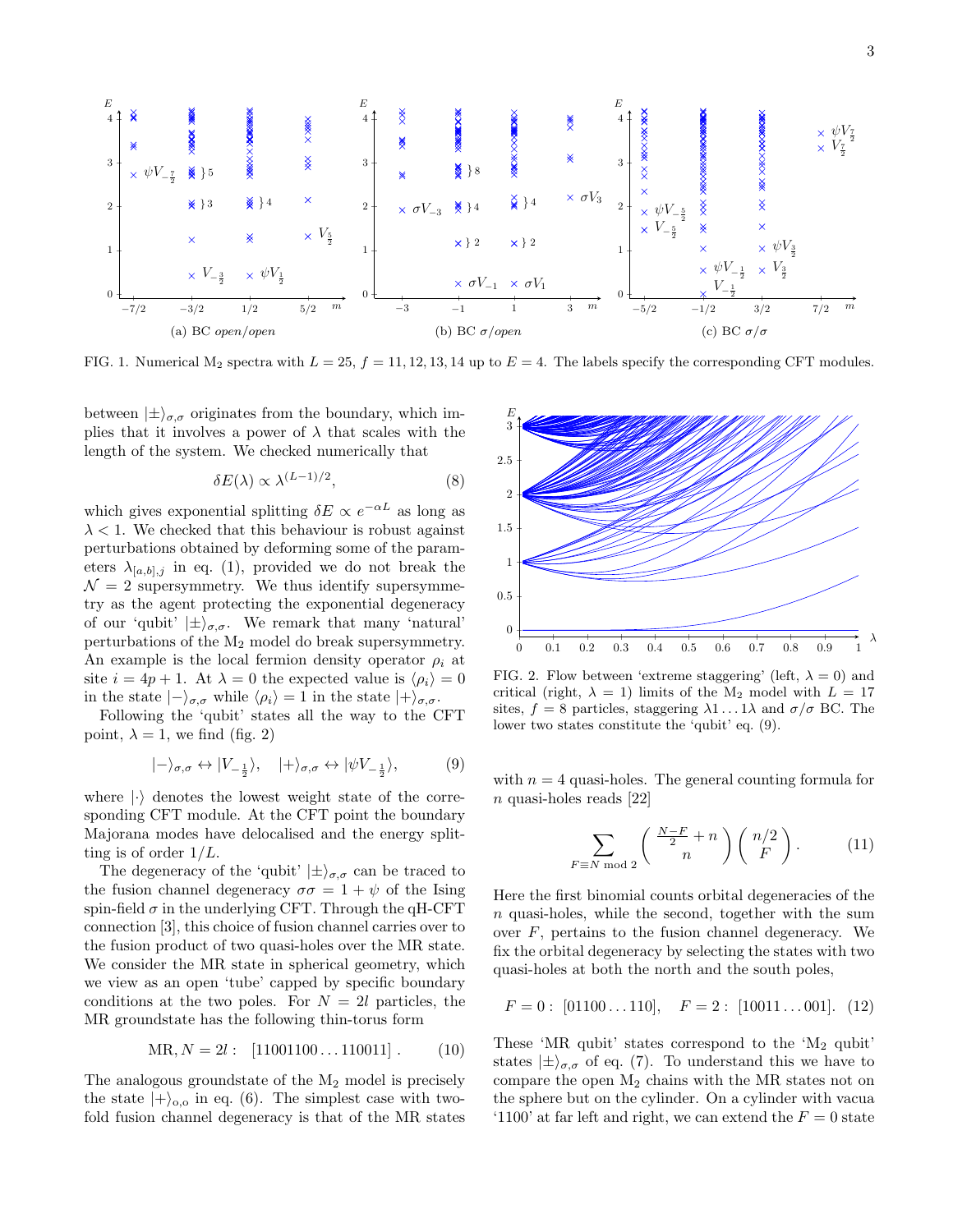

<span id="page-3-0"></span>FIG. 1. Numerical  $M_2$  spectra with  $L = 25$ ,  $f = 11, 12, 13, 14$  up to  $E = 4$ . The labels specify the corresponding CFT modules.

between  $|\pm\rangle_{\sigma,\sigma}$  originates from the boundary, which implies that it involves a power of  $\lambda$  that scales with the length of the system. We checked numerically that

$$
\delta E(\lambda) \propto \lambda^{(L-1)/2},\tag{8}
$$

which gives exponential splitting  $\delta E \propto e^{-\alpha L}$  as long as  $\lambda$  < 1. We checked that this behaviour is robust against perturbations obtained by deforming some of the parameters  $\lambda_{[a,b],j}$  in eq. [\(1\)](#page-1-0), provided we do not break the  $\mathcal{N}=2$  supersymmetry. We thus identify supersymmetry as the agent protecting the exponential degeneracy of our 'qubit'  $|\pm\rangle_{\sigma,\sigma}$ . We remark that many 'natural' perturbations of the M<sup>2</sup> model do break supersymmetry. An example is the local fermion density operator  $\rho_i$  at site  $i = 4p + 1$ . At  $\lambda = 0$  the expected value is  $\langle \rho_i \rangle = 0$ in the state  $|-\rangle_{\sigma,\sigma}$  while  $\langle \rho_i \rangle = 1$  in the state  $|+\rangle_{\sigma,\sigma}$ .

Following the 'qubit' states all the way to the CFT point,  $\lambda = 1$ , we find (fig. [2\)](#page-3-1)

<span id="page-3-2"></span>
$$
|-\rangle_{\sigma,\sigma} \leftrightarrow |V_{-\frac{1}{2}}\rangle, \quad |+\rangle_{\sigma,\sigma} \leftrightarrow |\psi V_{-\frac{1}{2}}\rangle,\tag{9}
$$

where  $|\cdot\rangle$  denotes the lowest weight state of the corresponding CFT module. At the CFT point the boundary Majorana modes have delocalised and the energy splitting is of order  $1/L$ .

The degeneracy of the 'qubit'  $|\pm\rangle_{\sigma,\sigma}$  can be traced to the fusion channel degeneracy  $\sigma\sigma = 1 + \psi$  of the Ising spin-field  $\sigma$  in the underlying CFT. Through the qH-CFT connection [\[3\]](#page-5-4), this choice of fusion channel carries over to the fusion product of two quasi-holes over the MR state. We consider the MR state in spherical geometry, which we view as an open 'tube' capped by specific boundary conditions at the two poles. For  $N = 2l$  particles, the MR groundstate has the following thin-torus form

$$
MR, N = 2l: [11001100...110011]. \t(10)
$$

The analogous groundstate of the  $M_2$  model is precisely the state  $|+\rangle_{0,0}$  in eq. [\(6\)](#page-2-0). The simplest case with twofold fusion channel degeneracy is that of the MR states



<span id="page-3-1"></span>FIG. 2. Flow between 'extreme staggering' (left,  $\lambda = 0$ ) and critical (right,  $\lambda = 1$ ) limits of the M<sub>2</sub> model with  $L = 17$ sites,  $f = 8$  particles, staggering  $\lambda 1 \dots 1 \lambda$  and  $\sigma / \sigma$  BC. The lower two states constitute the 'qubit' eq. [\(9\)](#page-3-2).

with  $n = 4$  quasi-holes. The general counting formula for n quasi-holes reads [\[22\]](#page-6-8)

<span id="page-3-3"></span>
$$
\sum_{F \equiv N \bmod 2} \left( \frac{\frac{N-F}{2} + n}{n} \right) \left( \frac{n/2}{F} \right). \tag{11}
$$

Here the first binomial counts orbital degeneracies of the n quasi-holes, while the second, together with the sum over  $F$ , pertains to the fusion channel degeneracy. We fix the orbital degeneracy by selecting the states with two quasi-holes at both the north and the south poles,

$$
F = 0: [01100...110], \quad F = 2: [10011...001]. \tag{12}
$$

These 'MR qubit' states correspond to the ' $M_2$  qubit' states  $|\pm\rangle_{\sigma,\sigma}$  of eq. [\(7\)](#page-2-1). To understand this we have to compare the open  $M_2$  chains with the MR states not on the sphere but on the cylinder. On a cylinder with vacua '1100' at far left and right, we can extend the  $F = 0$  state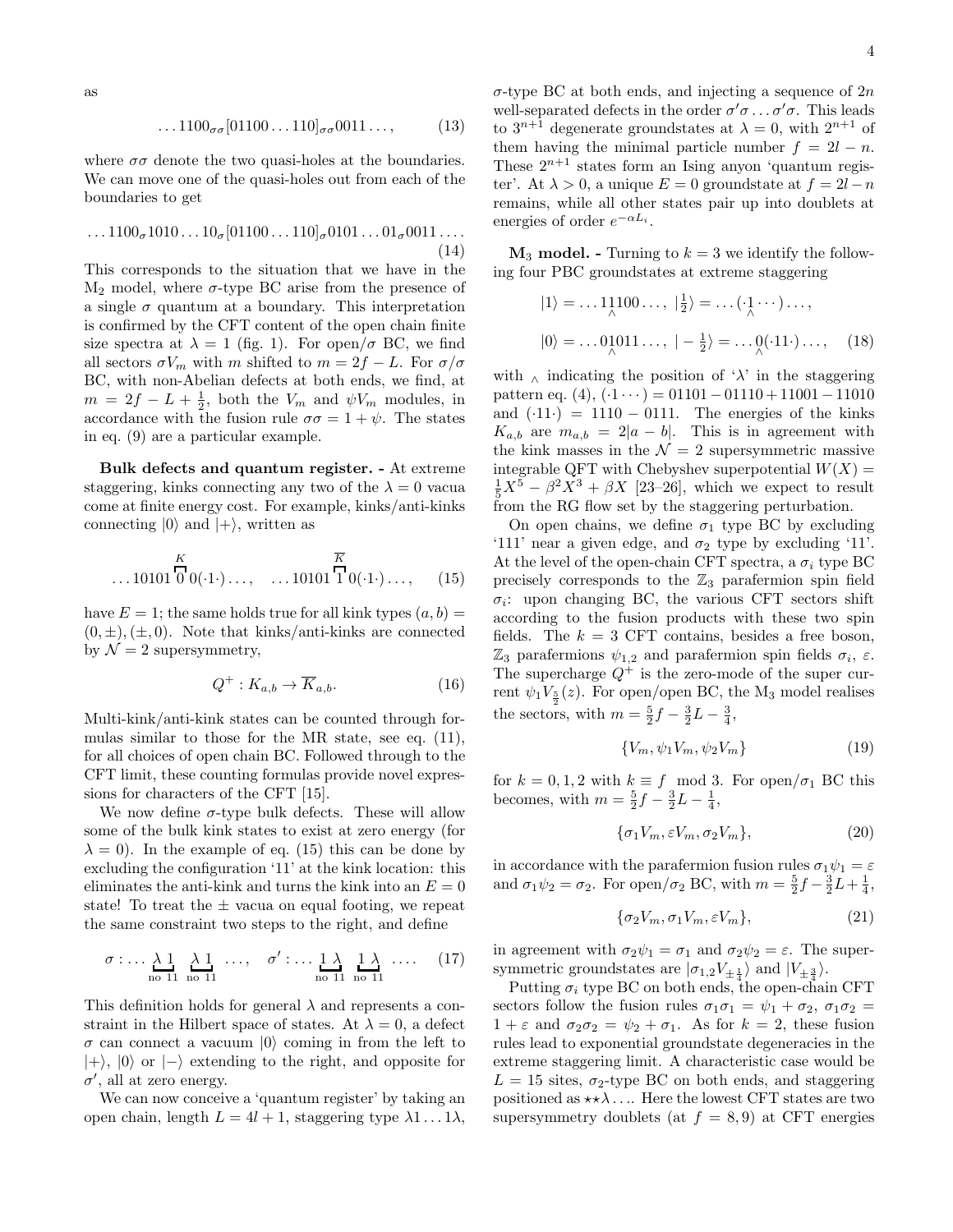$$
\dots 1100_{\sigma\sigma}[01100\dots 110]_{\sigma\sigma}0011\dots, \qquad (13)
$$

where  $\sigma\sigma$  denote the two quasi-holes at the boundaries. We can move one of the quasi-holes out from each of the boundaries to get

$$
\dots 1100_{\sigma} 1010 \dots 10_{\sigma} [01100 \dots 110]_{\sigma} 0101 \dots 01_{\sigma} 0011 \dots \tag{14}
$$

This corresponds to the situation that we have in the  $M_2$  model, where  $\sigma$ -type BC arise from the presence of a single  $\sigma$  quantum at a boundary. This interpretation is confirmed by the CFT content of the open chain finite size spectra at  $\lambda = 1$  (fig. [1\)](#page-3-0). For open/ $\sigma$  BC, we find all sectors  $\sigma V_m$  with m shifted to  $m = 2f - L$ . For  $\sigma/\sigma$ BC, with non-Abelian defects at both ends, we find, at  $m = 2f - L + \frac{1}{2}$ , both the  $V_m$  and  $\psi V_m$  modules, in accordance with the fusion rule  $\sigma\sigma = 1 + \psi$ . The states in eq. [\(9\)](#page-3-2) are a particular example.

Bulk defects and quantum register. - At extreme staggering, kinks connecting any two of the  $\lambda = 0$  vacua come at finite energy cost. For example, kinks/anti-kinks connecting  $|0\rangle$  and  $|+\rangle$ , written as

<span id="page-4-0"></span>
$$
\dots 10101 \overline{\bigcirc} \atop{0} 0(\cdot 1 \cdot) \dots, \quad \dots 10101 \overline{\bigcirc} \atop{1} 0(\cdot 1 \cdot) \dots, \quad (15)
$$

have  $E = 1$ ; the same holds true for all kink types  $(a, b) =$  $(0, \pm), (\pm, 0)$ . Note that kinks/anti-kinks are connected by  $\mathcal{N}=2$  supersymmetry,

$$
Q^+ : K_{a,b} \to \overline{K}_{a,b}.
$$
 (16)

Multi-kink/anti-kink states can be counted through formulas similar to those for the MR state, see eq. [\(11\)](#page-3-3), for all choices of open chain BC. Followed through to the CFT limit, these counting formulas provide novel expressions for characters of the CFT [\[15\]](#page-6-3).

We now define  $\sigma$ -type bulk defects. These will allow some of the bulk kink states to exist at zero energy (for  $\lambda = 0$ ). In the example of eq. [\(15\)](#page-4-0) this can be done by excluding the configuration '11' at the kink location: this eliminates the anti-kink and turns the kink into an  $E = 0$ state! To treat the  $\pm$  vacua on equal footing, we repeat the same constraint two steps to the right, and define

$$
\sigma: \dots \underset{\text{no 11}}{\lambda \ 1} \underset{\text{no 11}}{\lambda \ 1} \dots, \quad \sigma': \dots \underset{\text{no 11}}{\lambda \ \underset{\text{no 11}}{\lambda}} \dots \quad (17)
$$

This definition holds for general  $\lambda$  and represents a constraint in the Hilbert space of states. At  $\lambda = 0$ , a defect  $\sigma$  can connect a vacuum  $|0\rangle$  coming in from the left to  $|+\rangle$ ,  $|0\rangle$  or  $|-\rangle$  extending to the right, and opposite for  $\sigma'$ , all at zero energy.

We can now conceive a 'quantum register' by taking an open chain, length  $L = 4l + 1$ , staggering type  $\lambda 1 \ldots 1 \lambda$ ,  $\sigma$ -type BC at both ends, and injecting a sequence of  $2n$ well-separated defects in the order  $\sigma' \sigma \dots \sigma' \sigma$ . This leads to  $3^{n+1}$  degenerate groundstates at  $\lambda = 0$ , with  $2^{n+1}$  of them having the minimal particle number  $f = 2l - n$ . These  $2^{n+1}$  states form an Ising anyon 'quantum register'. At  $\lambda > 0$ , a unique  $E = 0$  groundstate at  $f = 2l - n$ remains, while all other states pair up into doublets at energies of order  $e^{-\alpha L_i}$ .

 $M_3$  model. - Turning to  $k = 3$  we identify the following four PBC groundstates at extreme staggering

$$
|1\rangle = \dots 1 \underset{\wedge}{1100\dots}, \ | \frac{1}{2}\rangle = \dots (\underset{\wedge}{\cdot 1} \cdots) \dots,
$$

$$
|0\rangle = \dots 0 \underset{\wedge}{1011\dots}, \ | -\frac{1}{2}\rangle = \dots \underset{\wedge}{0} \cdots (11) \dots, \ (18)
$$

with  $\wedge$  indicating the position of ' $\lambda$ ' in the staggering pattern eq.  $(4)$ ,  $(·1 \cdots) = 01101 - 01110 + 11001 - 11010$ and  $(·11·) = 1110 - 0111$ . The energies of the kinks  $K_{a,b}$  are  $m_{a,b} = 2|a-b|$ . This is in agreement with the kink masses in the  $\mathcal{N}=2$  supersymmetric massive integrable QFT with Chebyshev superpotential  $W(X) =$  $\frac{1}{5}X^5 - \beta^2 X^3 + \beta X$  [\[23–](#page-6-9)[26\]](#page-6-10), which we expect to result from the RG flow set by the staggering perturbation.

On open chains, we define  $\sigma_1$  type BC by excluding '111' near a given edge, and  $\sigma_2$  type by excluding '11'. At the level of the open-chain CFT spectra, a  $\sigma_i$  type BC precisely corresponds to the  $\mathbb{Z}_3$  parafermion spin field  $\sigma_i$ : upon changing BC, the various CFT sectors shift according to the fusion products with these two spin fields. The  $k = 3$  CFT contains, besides a free boson,  $\mathbb{Z}_3$  parafermions  $\psi_{1,2}$  and parafermion spin fields  $\sigma_i$ ,  $\varepsilon$ . The supercharge  $Q^+$  is the zero-mode of the super current  $\psi_1 V_{\frac{5}{2}}(z)$ . For open/open BC, the M<sub>3</sub> model realises the sectors, with  $m = \frac{5}{2}f - \frac{3}{2}L - \frac{3}{4}$ ,

$$
\{V_m, \psi_1 V_m, \psi_2 V_m\} \tag{19}
$$

for  $k = 0, 1, 2$  with  $k \equiv f \mod 3$ . For open/ $\sigma_1$  BC this becomes, with  $m = \frac{5}{2}f - \frac{3}{2}L - \frac{1}{4}$ ,

$$
\{\sigma_1 V_m, \varepsilon V_m, \sigma_2 V_m\},\tag{20}
$$

in accordance with the parafermion fusion rules  $\sigma_1 \psi_1 = \varepsilon$ and  $\sigma_1 \psi_2 = \sigma_2$ . For open/ $\sigma_2$  BC, with  $m = \frac{5}{2} f - \frac{3}{2} L + \frac{1}{4}$ ,

$$
\{\sigma_2 V_m, \sigma_1 V_m, \varepsilon V_m\},\tag{21}
$$

in agreement with  $\sigma_2 \psi_1 = \sigma_1$  and  $\sigma_2 \psi_2 = \varepsilon$ . The supersymmetric groundstates are  $|\sigma_{1,2}V_{\pm\frac{1}{4}}\rangle$  and  $|V_{\pm\frac{3}{4}}\rangle$ .

Putting  $\sigma_i$  type BC on both ends, the open-chain CFT sectors follow the fusion rules  $\sigma_1\sigma_1 = \psi_1 + \sigma_2$ ,  $\sigma_1\sigma_2 =$  $1 + \varepsilon$  and  $\sigma_2 \sigma_2 = \psi_2 + \sigma_1$ . As for  $k = 2$ , these fusion rules lead to exponential groundstate degeneracies in the extreme staggering limit. A characteristic case would be  $L = 15$  sites,  $\sigma_2$ -type BC on both ends, and staggering positioned as  $\star \star \lambda$ .... Here the lowest CFT states are two supersymmetry doublets (at  $f = 8, 9$ ) at CFT energies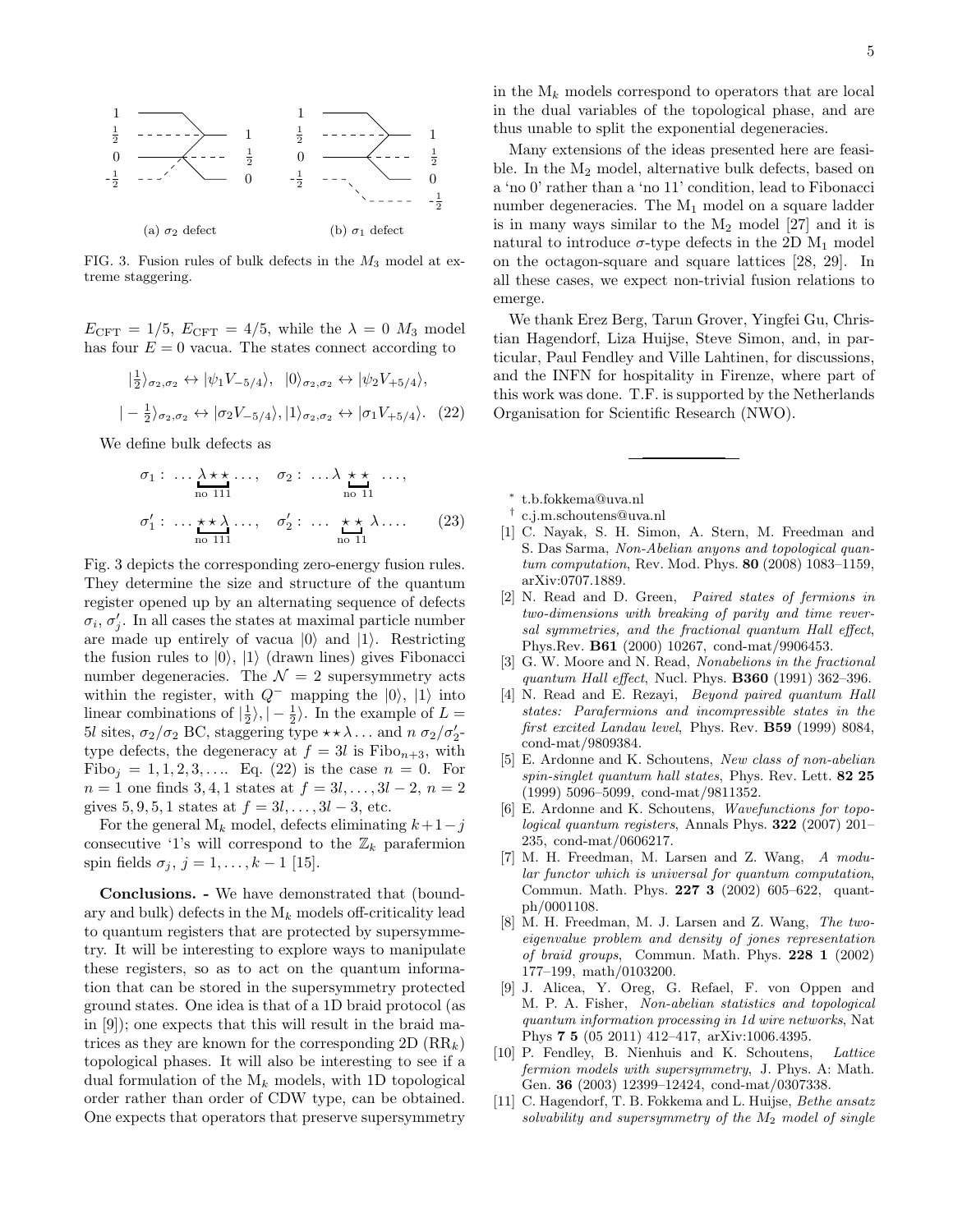

<span id="page-5-13"></span>FIG. 3. Fusion rules of bulk defects in the  $M_3$  model at extreme staggering.

 $E_{\text{CFT}} = 1/5, E_{\text{CFT}} = 4/5$ , while the  $\lambda = 0$   $M_3$  model has four  $E = 0$  vacua. The states connect according to

<span id="page-5-14"></span>
$$
\begin{aligned} \vert \frac{1}{2} \rangle_{\sigma_2, \sigma_2} &\leftrightarrow \vert \psi_1 V_{-5/4} \rangle, \ \vert 0 \rangle_{\sigma_2, \sigma_2} &\leftrightarrow \vert \psi_2 V_{+5/4} \rangle, \\ \vert -\frac{1}{2} \rangle_{\sigma_2, \sigma_2} &\leftrightarrow \vert \sigma_2 V_{-5/4} \rangle, \vert 1 \rangle_{\sigma_2, \sigma_2} &\leftrightarrow \vert \sigma_1 V_{+5/4} \rangle. \end{aligned} \tag{22}
$$

We define bulk defects as

$$
\sigma_1: \dots \underset{\text{no 111}}{\lambda \star \star} \dots, \quad \sigma_2: \dots \underset{\text{no 11}}{\lambda} \underset{\text{no 11}}{\star} \dots, \n\sigma'_1: \dots \underset{\text{no 111}}{\star \star} \lambda \dots, \quad \sigma'_2: \dots \underset{\text{no 11}}{\star \star} \lambda \dots
$$
\n(23)

Fig. [3](#page-5-13) depicts the corresponding zero-energy fusion rules. They determine the size and structure of the quantum register opened up by an alternating sequence of defects  $\sigma_i$ ,  $\sigma'_j$ . In all cases the states at maximal particle number are made up entirely of vacua  $|0\rangle$  and  $|1\rangle$ . Restricting the fusion rules to  $|0\rangle$ ,  $|1\rangle$  (drawn lines) gives Fibonacci number degeneracies. The  $\mathcal{N}=2$  supersymmetry acts within the register, with  $Q^-$  mapping the  $|0\rangle$ ,  $|1\rangle$  into linear combinations of  $\left|\frac{1}{2}\right\rangle$ ,  $\left|-\frac{1}{2}\right\rangle$ . In the example of  $L =$ 5l sites,  $\sigma_2/\sigma_2$  BC, staggering type  $\star \star \lambda \dots$  and  $n \sigma_2/\sigma'_2$ type defects, the degeneracy at  $f = 3l$  is Fibo<sub>n+3</sub>, with Fibo<sub>j</sub> = 1, 1, 2, 3, .... Eq. [\(22\)](#page-5-14) is the case  $n = 0$ . For  $n = 1$  one finds 3, 4, 1 states at  $f = 3l, \ldots, 3l - 2, n = 2$ gives  $5, 9, 5, 1$  states at  $f = 3l, ..., 3l - 3$ , etc.

For the general  $M_k$  model, defects eliminating  $k+1-j$ consecutive '1's will correspond to the  $\mathbb{Z}_k$  parafermion spin fields  $\sigma_j$ ,  $j = 1, ..., k - 1$  [\[15\]](#page-6-3).

Conclusions. - We have demonstrated that (boundary and bulk) defects in the  $M_k$  models off-criticality lead to quantum registers that are protected by supersymmetry. It will be interesting to explore ways to manipulate these registers, so as to act on the quantum information that can be stored in the supersymmetry protected ground states. One idea is that of a 1D braid protocol (as in [\[9\]](#page-5-10)); one expects that this will result in the braid matrices as they are known for the corresponding 2D  $(RR_k)$ topological phases. It will also be interesting to see if a dual formulation of the  $M_k$  models, with 1D topological order rather than order of CDW type, can be obtained. One expects that operators that preserve supersymmetry

in the  $M_k$  models correspond to operators that are local in the dual variables of the topological phase, and are thus unable to split the exponential degeneracies.

Many extensions of the ideas presented here are feasible. In the M<sup>2</sup> model, alternative bulk defects, based on a 'no 0' rather than a 'no 11' condition, lead to Fibonacci number degeneracies. The M<sup>1</sup> model on a square ladder is in many ways similar to the  $M_2$  model  $[27]$  and it is natural to introduce  $\sigma$ -type defects in the 2D M<sub>1</sub> model on the octagon-square and square lattices [\[28,](#page-6-12) [29\]](#page-6-13). In all these cases, we expect non-trivial fusion relations to emerge.

We thank Erez Berg, Tarun Grover, Yingfei Gu, Christian Hagendorf, Liza Huijse, Steve Simon, and, in particular, Paul Fendley and Ville Lahtinen, for discussions, and the INFN for hospitality in Firenze, where part of this work was done. T.F. is supported by the Netherlands Organisation for Scientific Research (NWO).

<span id="page-5-0"></span>∗ [t.b.fokkema@uva.nl](mailto:t.b.fokkema@uva.nl)

- <span id="page-5-1"></span>† [c.j.m.schoutens@uva.nl](mailto:c.j.m.schoutens@uva.nl)
- <span id="page-5-2"></span>[1] C. Nayak, S. H. Simon, A. Stern, M. Freedman and S. Das Sarma, Non-Abelian anyons and topological quantum computation, Rev. Mod. Phys. 80 (2008) 1083–1159, arXiv:0707.1889.
- <span id="page-5-3"></span>[2] N. Read and D. Green, Paired states of fermions in two-dimensions with breaking of parity and time reversal symmetries, and the fractional quantum Hall effect, Phys.Rev. B61 (2000) 10267, cond-mat/9906453.
- <span id="page-5-4"></span>[3] G. W. Moore and N. Read, Nonabelions in the fractional quantum Hall effect, Nucl. Phys.  $B360$  (1991) 362-396.
- <span id="page-5-5"></span>[4] N. Read and E. Rezayi, Beyond paired quantum Hall states: Parafermions and incompressible states in the first excited Landau level, Phys. Rev. B59 (1999) 8084, cond-mat/9809384.
- <span id="page-5-6"></span>[5] E. Ardonne and K. Schoutens, New class of non-abelian spin-singlet quantum hall states, Phys. Rev. Lett. 82 25 (1999) 5096–5099, cond-mat/9811352.
- <span id="page-5-7"></span>[6] E. Ardonne and K. Schoutens, Wavefunctions for topological quantum registers, Annals Phys. 322 (2007) 201– 235, cond-mat/0606217.
- <span id="page-5-8"></span>[7] M. H. Freedman, M. Larsen and Z. Wang, A modular functor which is universal for quantum computation, Commun. Math. Phys. 227 3 (2002) 605–622, quantph/0001108.
- <span id="page-5-9"></span>[8] M. H. Freedman, M. J. Larsen and Z. Wang, The twoeigenvalue problem and density of jones representation of braid groups, Commun. Math. Phys. 228 1 (2002) 177–199, math/0103200.
- <span id="page-5-10"></span>[9] J. Alicea, Y. Oreg, G. Refael, F. von Oppen and M. P. A. Fisher, Non-abelian statistics and topological quantum information processing in 1d wire networks, Nat Phys 7 5 (05 2011) 412–417, arXiv:1006.4395.
- <span id="page-5-11"></span>[10] P. Fendley, B. Nienhuis and K. Schoutens, Lattice fermion models with supersymmetry, J. Phys. A: Math. Gen. 36 (2003) 12399–12424, cond-mat/0307338.
- <span id="page-5-12"></span>[11] C. Hagendorf, T. B. Fokkema and L. Huijse, *Bethe ansatz* solvability and supersymmetry of the  $M_2$  model of single